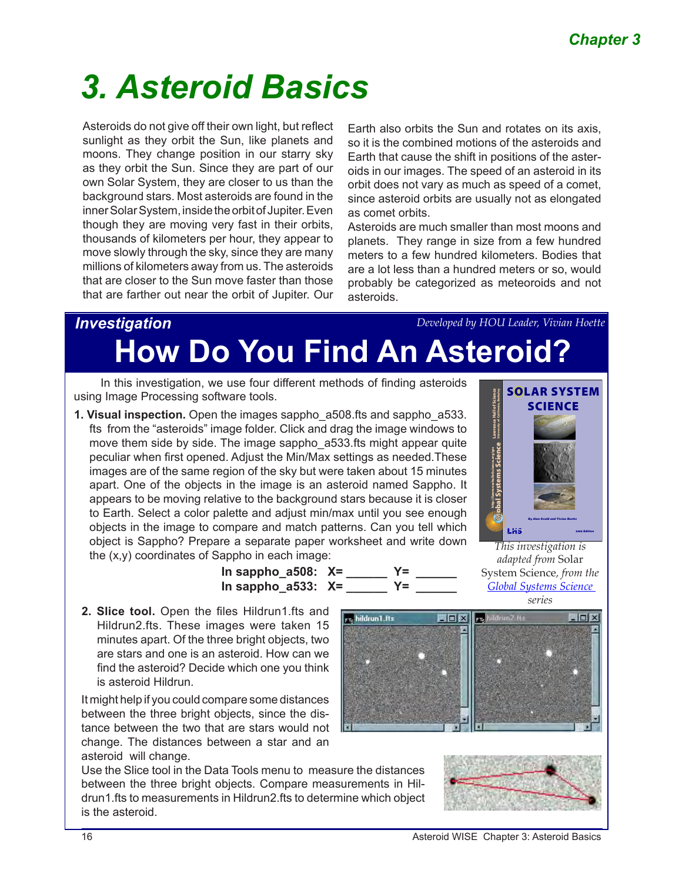# *3. Asteroid Basics*

Asteroids do not give off their own light, but reflect sunlight as they orbit the Sun, like planets and moons. They change position in our starry sky as they orbit the Sun. Since they are part of our own Solar System, they are closer to us than the background stars. Most asteroids are found in the inner Solar System, inside the orbit of Jupiter. Even though they are moving very fast in their orbits, thousands of kilometers per hour, they appear to move slowly through the sky, since they are many millions of kilometers away from us. The asteroids that are closer to the Sun move faster than those that are farther out near the orbit of Jupiter. Our

Earth also orbits the Sun and rotates on its axis, so it is the combined motions of the asteroids and Earth that cause the shift in positions of the asteroids in our images. The speed of an asteroid in its orbit does not vary as much as speed of a comet, since asteroid orbits are usually not as elongated as comet orbits.

Asteroids are much smaller than most moons and planets. They range in size from a few hundred meters to a few hundred kilometers. Bodies that are a lot less than a hundred meters or so, would probably be categorized as meteoroids and not asteroids.

# *Investigation*   **How Do You Find An Asteroid?** *Developed by HOU Leader, Vivian Hoette*

**In sappho\_a508: X= \_\_\_\_\_\_ Y= \_\_\_\_\_\_**

In this investigation, we use four different methods of finding asteroids using Image Processing software tools.

**1. Visual inspection.** Open the images sappho\_a508.fts and sappho\_a533. fts from the "asteroids" image folder. Click and drag the image windows to move them side by side. The image sappho a533.fts might appear quite peculiar when first opened. Adjust the Min/Max settings as needed.These images are of the same region of the sky but were taken about 15 minutes apart. One of the objects in the image is an asteroid named Sappho. It appears to be moving relative to the background stars because it is closer to Earth. Select a color palette and adjust min/max until you see enough objects in the image to compare and match patterns. Can you tell which object is Sappho? Prepare a separate paper worksheet and write down the (x,y) coordinates of Sappho in each image:



*This investigation is adapted from* Solar System Science*, from the [Global Systems Science](http://lhs.berkeley.edu/gss/) series*

**In sappho\_a533: X= \_\_\_\_\_\_ Y= \_\_\_\_\_\_ 2. Slice tool.** Open the files Hildrun1.fts and Hildrun2.fts. These images were taken 15 minutes apart. Of the three bright objects, two are stars and one is an asteroid. How can we find the asteroid? Decide which one you think

It might help if you could compare some distances between the three bright objects, since the distance between the two that are stars would not change. The distances between a star and an asteroid will change.

is asteroid Hildrun.

Use the Slice tool in the Data Tools menu to measure the distances between the three bright objects. Compare measurements in Hildrun1.fts to measurements in Hildrun2.fts to determine which object is the asteroid.





16 **Asteroid WISE Chapter 3: Asteroid Basics** Asteroid WISE Chapter 3: Asteroid Basics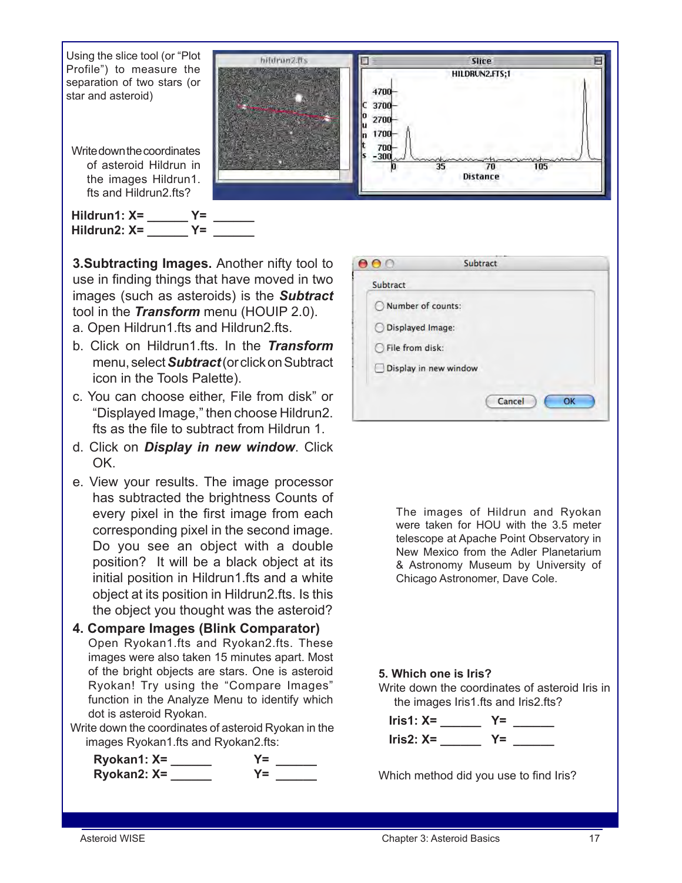

**3.Subtracting Images.** Another nifty tool to use in finding things that have moved in two images (such as asteroids) is the *Subtract*  tool in the *Transform* menu (HOUIP 2.0). a. Open Hildrun1.fts and Hildrun2.fts.

- b. Click on Hildrun1.fts. In the *Transform*  menu, select *Subtract* (or click on Subtract icon in the Tools Palette).
- c. You can choose either, File from disk" or "Displayed Image," then choose Hildrun2. fts as the file to subtract from Hildrun 1.
- d. Click on *Display in new window*. Click OK.
- e. View your results. The image processor has subtracted the brightness Counts of every pixel in the first image from each corresponding pixel in the second image. Do you see an object with a double position? It will be a black object at its initial position in Hildrun1.fts and a white object at its position in Hildrun2.fts. Is this the object you thought was the asteroid?

#### **4. Compare Images (Blink Comparator)** Open Ryokan1.fts and Ryokan2.fts. These images were also taken 15 minutes apart. Most of the bright objects are stars. One is asteroid Ryokan! Try using the "Compare Images" function in the Analyze Menu to identify which dot is asteroid Ryokan.

Write down the coordinates of asteroid Ryokan in the images Ryokan1.fts and Ryokan2.fts:



| Subtract              |
|-----------------------|
|                       |
| Number of counts:     |
| O Displayed Image:    |
| File from disk:       |
| Display in new window |
|                       |
| Cancel<br>OK          |
|                       |

The images of Hildrun and Ryokan were taken for HOU with the 3.5 meter telescope at Apache Point Observatory in New Mexico from the Adler Planetarium & Astronomy Museum by University of Chicago Astronomer, Dave Cole.

### **5. Which one is Iris?**

Write down the coordinates of asteroid Iris in the images Iris1.fts and Iris2.fts?

 **Iris1: X= \_\_\_\_\_\_ Y= \_\_\_\_\_\_ Iris2: X=**  $Y=$ 

Which method did you use to find Iris?